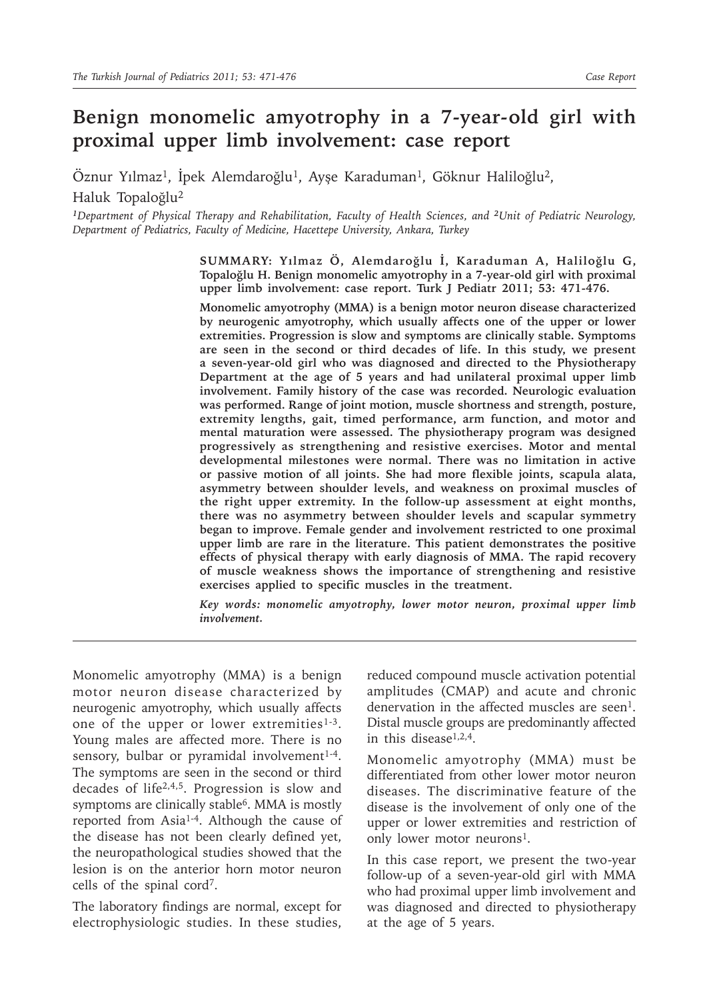# **Benign monomelic amyotrophy in a 7-year-old girl with proximal upper limb involvement: case report**

Öznur Yılmaz<sup>1</sup>, İpek Alemdaroğlu<sup>1</sup>, Ayşe Karaduman<sup>1</sup>, Göknur Haliloğlu<sup>2</sup>, Haluk Topaloğlu2

*1* Department of Physical Therapy and Rehabilitation, Faculty of Health Sciences, and <sup>2</sup>*Unit of Pediatric Neurology*, *Department of Pediatrics, Faculty of Medicine, Hacettepe University, Ankara, Turkey* 

> **SUMMARY: Yılmaz Ö, Alemdaroğlu İ, Karaduman A, Haliloğlu G, Topaloğlu H. Benign monomelic amyotrophy in a 7-year-old girl with proximal upper limb involvement: case report. Turk J Pediatr 2011; 53: 471-476.**

> **Monomelic amyotrophy (MMA) is a benign motor neuron disease characterized by neurogenic amyotrophy, which usually affects one of the upper or lower extremities. Progression is slow and symptoms are clinically stable. Symptoms are seen in the second or third decades of life. In this study, we present a seven-year-old girl who was diagnosed and directed to the Physiotherapy Department at the age of 5 years and had unilateral proximal upper limb involvement. Family history of the case was recorded. Neurologic evaluation was performed. Range of joint motion, muscle shortness and strength, posture, extremity lengths, gait, timed performance, arm function, and motor and mental maturation were assessed. The physiotherapy program was designed progressively as strengthening and resistive exercises. Motor and mental developmental milestones were normal. There was no limitation in active or passive motion of all joints. She had more flexible joints, scapula alata, asymmetry between shoulder levels, and weakness on proximal muscles of the right upper extremity. In the follow-up assessment at eight months, there was no asymmetry between shoulder levels and scapular symmetry began to improve. Female gender and involvement restricted to one proximal upper limb are rare in the literature. This patient demonstrates the positive effects of physical therapy with early diagnosis of MMA. The rapid recovery of muscle weakness shows the importance of strengthening and resistive exercises applied to specific muscles in the treatment.**

> *Key words: monomelic amyotrophy, lower motor neuron, proximal upper limb involvement.*

Monomelic amyotrophy (MMA) is a benign motor neuron disease characterized by neurogenic amyotrophy, which usually affects one of the upper or lower extremities<sup>1-3</sup>. Young males are affected more. There is no sensory, bulbar or pyramidal involvement $1-4$ . The symptoms are seen in the second or third decades of life2,4,5. Progression is slow and symptoms are clinically stable<sup>6</sup>. MMA is mostly reported from Asia<sup>1-4</sup>. Although the cause of the disease has not been clearly defined yet, the neuropathological studies showed that the lesion is on the anterior horn motor neuron cells of the spinal cord7.

The laboratory findings are normal, except for electrophysiologic studies. In these studies,

reduced compound muscle activation potential amplitudes (CMAP) and acute and chronic denervation in the affected muscles are seen<sup>1</sup>. Distal muscle groups are predominantly affected in this disease<sup>1,2,4</sup>.

Monomelic amyotrophy (MMA) must be differentiated from other lower motor neuron diseases. The discriminative feature of the disease is the involvement of only one of the upper or lower extremities and restriction of only lower motor neurons<sup>1</sup>.

In this case report, we present the two-year follow-up of a seven-year-old girl with MMA who had proximal upper limb involvement and was diagnosed and directed to physiotherapy at the age of 5 years.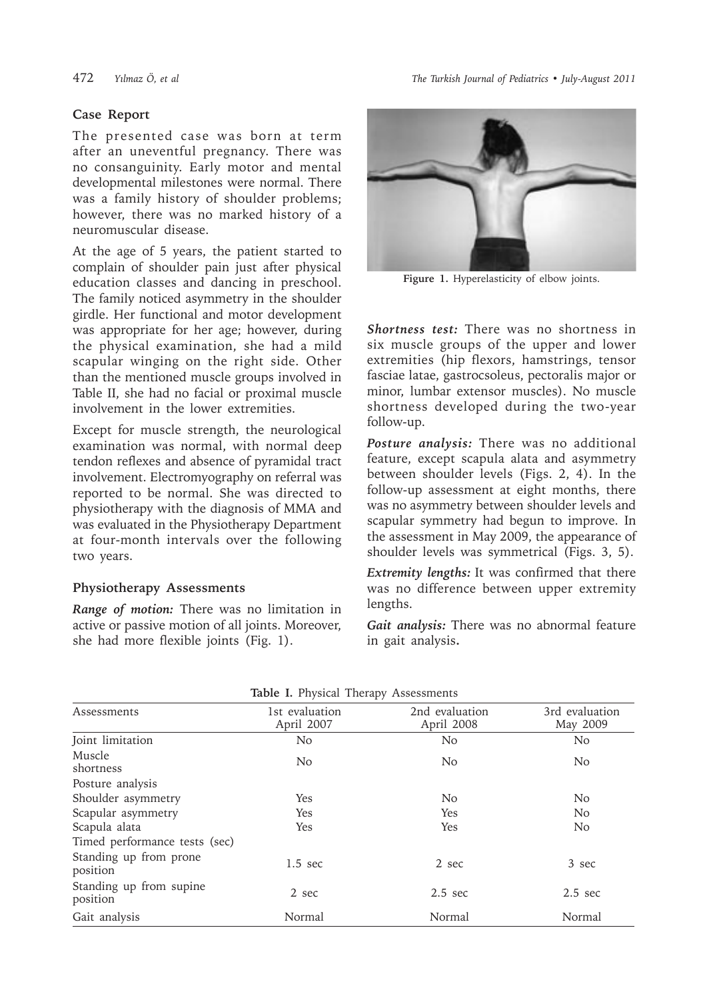# **Case Report**

The presented case was born at term after an uneventful pregnancy. There was no consanguinity. Early motor and mental developmental milestones were normal. There was a family history of shoulder problems; however, there was no marked history of a neuromuscular disease.

At the age of 5 years, the patient started to complain of shoulder pain just after physical education classes and dancing in preschool. The family noticed asymmetry in the shoulder girdle. Her functional and motor development was appropriate for her age; however, during the physical examination, she had a mild scapular winging on the right side. Other than the mentioned muscle groups involved in Table II, she had no facial or proximal muscle involvement in the lower extremities.

Except for muscle strength, the neurological examination was normal, with normal deep tendon reflexes and absence of pyramidal tract involvement. Electromyography on referral was reported to be normal. She was directed to physiotherapy with the diagnosis of MMA and was evaluated in the Physiotherapy Department at four-month intervals over the following two years.

# **Physiotherapy Assessments**

*Range of motion:* There was no limitation in active or passive motion of all joints. Moreover, she had more flexible joints (Fig. 1).



**Figure 1.** Hyperelasticity of elbow joints.

*Shortness test:* There was no shortness in six muscle groups of the upper and lower extremities (hip flexors, hamstrings, tensor fasciae latae, gastrocsoleus, pectoralis major or minor, lumbar extensor muscles). No muscle shortness developed during the two-year follow-up.

*Posture analysis:* There was no additional feature, except scapula alata and asymmetry between shoulder levels (Figs. 2, 4). In the follow-up assessment at eight months, there was no asymmetry between shoulder levels and scapular symmetry had begun to improve. In the assessment in May 2009, the appearance of shoulder levels was symmetrical (Figs. 3, 5).

*Extremity lengths:* It was confirmed that there was no difference between upper extremity lengths.

*Gait analysis:* There was no abnormal feature in gait analysis**.**

| $\frac{1}{2}$                       |                              |                              |                            |  |  |  |  |
|-------------------------------------|------------------------------|------------------------------|----------------------------|--|--|--|--|
| Assessments                         | 1st evaluation<br>April 2007 | 2nd evaluation<br>April 2008 | 3rd evaluation<br>May 2009 |  |  |  |  |
| Joint limitation                    | N <sub>o</sub>               | N <sub>o</sub>               | No                         |  |  |  |  |
| Muscle<br>shortness                 | N <sub>o</sub>               | N <sub>o</sub>               | N <sub>o</sub>             |  |  |  |  |
| Posture analysis                    |                              |                              |                            |  |  |  |  |
| Shoulder asymmetry                  | Yes                          | N <sub>o</sub>               | N <sub>o</sub>             |  |  |  |  |
| Scapular asymmetry                  | Yes                          | Yes                          | N <sub>o</sub>             |  |  |  |  |
| Scapula alata                       | Yes                          | Yes                          | N <sub>o</sub>             |  |  |  |  |
| Timed performance tests (sec)       |                              |                              |                            |  |  |  |  |
| Standing up from prone<br>position  | $1.5 \text{ sec}$            | 2 sec                        | 3 sec                      |  |  |  |  |
| Standing up from supine<br>position | 2 sec                        | $2.5 \text{ sec}$            | $2.5 \text{ sec}$          |  |  |  |  |
| Gait analysis                       | Normal                       | Normal                       | Normal                     |  |  |  |  |

|  |  | Table I. Physical Therapy Assessments |
|--|--|---------------------------------------|
|  |  |                                       |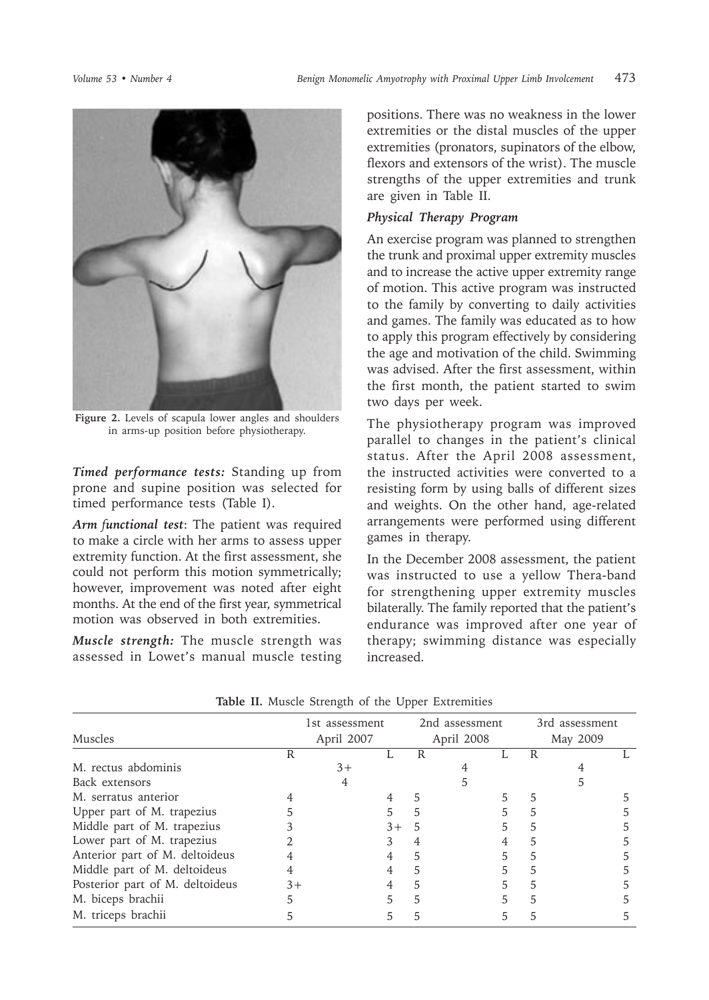

**Figure 2.** Levels of scapula lower angles and shoulders in arms-up position before physiotherapy.

*Timed performance tests:* Standing up from prone and supine position was selected for timed performance tests (Table I).

Arm functional test: The patient was required to make a circle with her arms to assess upper extremity function. At the first assessment, she could not perform this motion symmetrically; however, improvement was noted after eight months. At the end of the first year, symmetrical motion was observed in both extremities.

*Muscle strength:* The muscle strength was assessed in Lowet's manual muscle testing

positions. There was no weakness in the lower extremities or the distal muscles of the upper extremities (pronators, supinators of the elbow, flexors and extensors of the wrist). The muscle strengths of the upper extremities and trunk are given in Table II.

# *Physical Therapy Program*

An exercise program was planned to strengthen the trunk and proximal upper extremity muscles and to increase the active upper extremity range of motion. This active program was instructed to the family by converting to daily activities and games. The family was educated as to how to apply this program effectively by considering the age and motivation of the child. Swimming was advised. After the first assessment, within the first month, the patient started to swim two days per week.

The physiotherapy program was improved parallel to changes in the patient's clinical status. After the April 2008 assessment, the instructed activities were converted to a resisting form by using balls of different sizes and weights. On the other hand, age-related arrangements were performed using different games in therapy.

In the December 2008 assessment, the patient was instructed to use a yellow Thera-band for strengthening upper extremity muscles bilaterally. The family reported that the patient's endurance was improved after one year of therapy; swimming distance was especially increased.

|                                 | 1st assessment<br>April 2007 |      | 2nd assessment<br>April 2008 |   | 3rd assessment<br>May 2009 |   |   |  |  |
|---------------------------------|------------------------------|------|------------------------------|---|----------------------------|---|---|--|--|
| Muscles                         |                              |      |                              |   |                            |   |   |  |  |
|                                 | R                            |      |                              | R |                            |   | R |  |  |
| M. rectus abdominis             |                              | $3+$ |                              |   |                            |   |   |  |  |
| Back extensors                  |                              | 4    |                              |   |                            |   |   |  |  |
| M. serratus anterior            |                              |      |                              | 5 |                            |   |   |  |  |
| Upper part of M. trapezius      |                              |      |                              |   |                            |   |   |  |  |
| Middle part of M. trapezius     |                              |      | $3+$                         | 5 |                            | 5 |   |  |  |
| Lower part of M. trapezius      |                              |      |                              |   |                            |   |   |  |  |
| Anterior part of M. deltoideus  |                              |      |                              | 5 |                            | 5 |   |  |  |
| Middle part of M. deltoideus    |                              |      |                              | 5 |                            |   |   |  |  |
| Posterior part of M. deltoideus | $3+$                         |      |                              |   |                            |   |   |  |  |
| M. biceps brachii               |                              |      |                              |   |                            |   |   |  |  |
| M. triceps brachii              |                              |      |                              |   |                            |   |   |  |  |

**Table II.** Muscle Strength of the Upper Extremities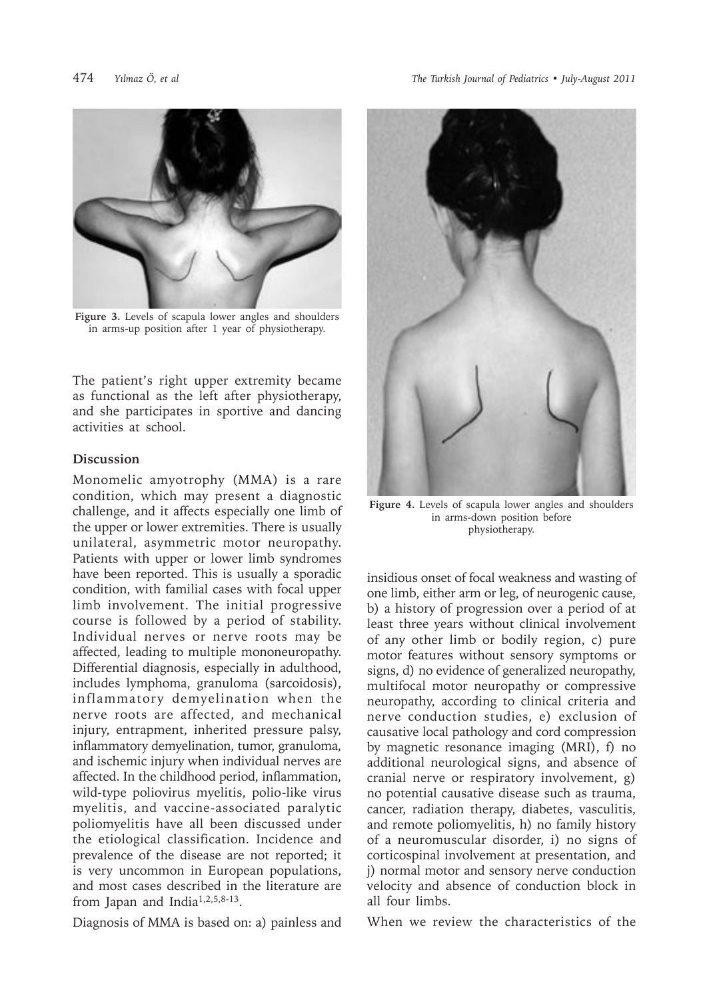

**Figure 3.** Levels of scapula lower angles and shoulders in arms-up position after 1 year of physiotherapy.

The patient's right upper extremity became as functional as the left after physiotherapy, and she participates in sportive and dancing activities at school.

#### **Discussion**

Monomelic amyotrophy (MMA) is a rare condition, which may present a diagnostic challenge, and it affects especially one limb of the upper or lower extremities. There is usually unilateral, asymmetric motor neuropathy. Patients with upper or lower limb syndromes have been reported. This is usually a sporadic condition, with familial cases with focal upper limb involvement. The initial progressive course is followed by a period of stability. Individual nerves or nerve roots may be affected, leading to multiple mononeuropathy. Differential diagnosis, especially in adulthood, includes lymphoma, granuloma (sarcoidosis), inflammatory demyelination when the nerve roots are affected, and mechanical injury, entrapment, inherited pressure palsy, inflammatory demyelination, tumor, granuloma, and ischemic injury when individual nerves are affected. In the childhood period, inflammation, wild-type poliovirus myelitis, polio-like virus myelitis, and vaccine-associated paralytic poliomyelitis have all been discussed under the etiological classification. Incidence and prevalence of the disease are not reported; it is very uncommon in European populations, and most cases described in the literature are from Japan and India1,2,5,8-13.

Diagnosis of MMA is based on: a) painless and



**Figure 4.** Levels of scapula lower angles and shoulders in arms-down position before physiotherapy.

insidious onset of focal weakness and wasting of one limb, either arm or leg, of neurogenic cause, b) a history of progression over a period of at least three years without clinical involvement of any other limb or bodily region, c) pure motor features without sensory symptoms or signs, d) no evidence of generalized neuropathy, multifocal motor neuropathy or compressive neuropathy, according to clinical criteria and nerve conduction studies, e) exclusion of causative local pathology and cord compression by magnetic resonance imaging (MRI), f) no additional neurological signs, and absence of cranial nerve or respiratory involvement, g) no potential causative disease such as trauma, cancer, radiation therapy, diabetes, vasculitis, and remote poliomyelitis, h) no family history of a neuromuscular disorder, i) no signs of corticospinal involvement at presentation, and j) normal motor and sensory nerve conduction velocity and absence of conduction block in all four limbs.

When we review the characteristics of the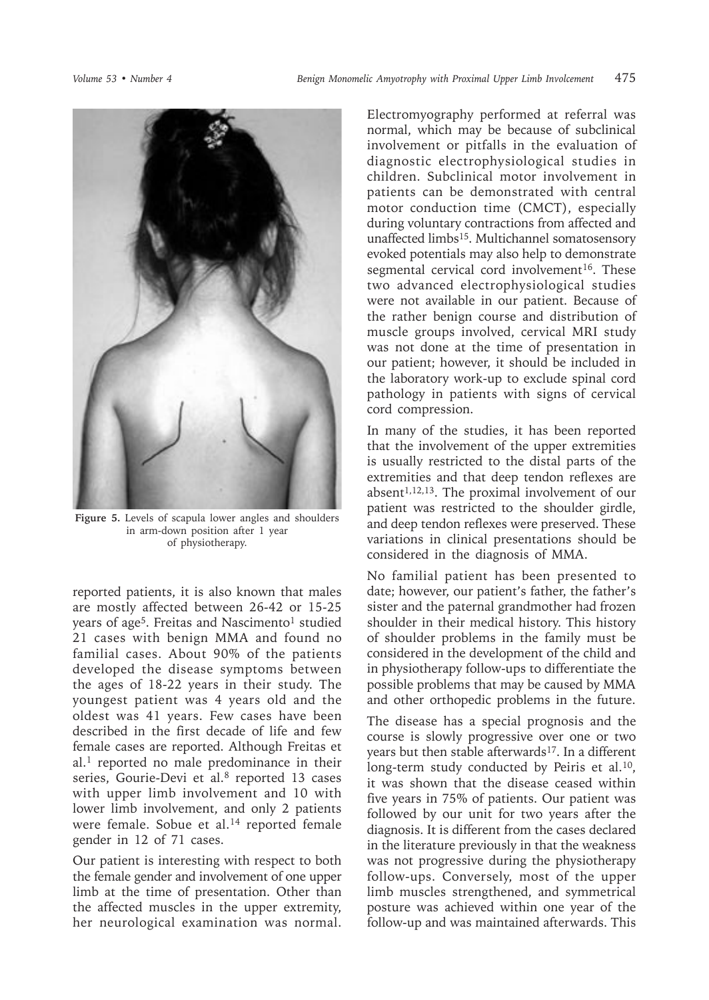

**Figure 5.** Levels of scapula lower angles and shoulders in arm-down position after 1 year of physiotherapy.

reported patients, it is also known that males are mostly affected between 26-42 or 15-25 years of age<sup>5</sup>. Freitas and Nascimento<sup>1</sup> studied 21 cases with benign MMA and found no familial cases. About 90% of the patients developed the disease symptoms between the ages of 18-22 years in their study. The youngest patient was 4 years old and the oldest was 41 years. Few cases have been described in the first decade of life and few female cases are reported. Although Freitas et  $al.1$  reported no male predominance in their series, Gourie-Devi et al.<sup>8</sup> reported 13 cases with upper limb involvement and 10 with lower limb involvement, and only 2 patients were female. Sobue et al.<sup>14</sup> reported female gender in 12 of 71 cases.

Our patient is interesting with respect to both the female gender and involvement of one upper limb at the time of presentation. Other than the affected muscles in the upper extremity, her neurological examination was normal.

Electromyography performed at referral was normal, which may be because of subclinical involvement or pitfalls in the evaluation of diagnostic electrophysiological studies in children. Subclinical motor involvement in patients can be demonstrated with central motor conduction time (CMCT), especially during voluntary contractions from affected and unaffected limbs15. Multichannel somatosensory evoked potentials may also help to demonstrate segmental cervical cord involvement<sup>16</sup>. These two advanced electrophysiological studies were not available in our patient. Because of the rather benign course and distribution of muscle groups involved, cervical MRI study was not done at the time of presentation in our patient; however, it should be included in the laboratory work-up to exclude spinal cord pathology in patients with signs of cervical cord compression.

In many of the studies, it has been reported that the involvement of the upper extremities is usually restricted to the distal parts of the extremities and that deep tendon reflexes are absent<sup>1,12,13</sup>. The proximal involvement of our patient was restricted to the shoulder girdle, and deep tendon reflexes were preserved. These variations in clinical presentations should be considered in the diagnosis of MMA.

No familial patient has been presented to date; however, our patient's father, the father's sister and the paternal grandmother had frozen shoulder in their medical history. This history of shoulder problems in the family must be considered in the development of the child and in physiotherapy follow-ups to differentiate the possible problems that may be caused by MMA and other orthopedic problems in the future.

The disease has a special prognosis and the course is slowly progressive over one or two years but then stable afterwards<sup>17</sup>. In a different long-term study conducted by Peiris et al.<sup>10</sup>, it was shown that the disease ceased within five years in 75% of patients. Our patient was followed by our unit for two years after the diagnosis. It is different from the cases declared in the literature previously in that the weakness was not progressive during the physiotherapy follow-ups. Conversely, most of the upper limb muscles strengthened, and symmetrical posture was achieved within one year of the follow-up and was maintained afterwards. This